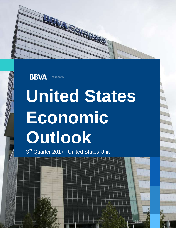



# **United States Economic Outlook**

3<sup>rd</sup> Quarter 2017 | United States Unit

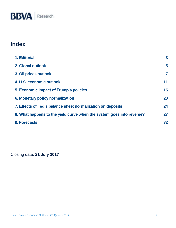### **Index**

| 1. Editorial                                                          | $\overline{3}$ |
|-----------------------------------------------------------------------|----------------|
| 2. Global outlook                                                     | 5              |
| 3. Oil prices outlook                                                 | 7              |
| 4. U.S. economic outlook                                              | 11             |
| 5. Economic impact of Trump's policies                                | 15             |
| <b>6. Monetary policy normalization</b>                               | 20             |
| 7. Effects of Fed's balance sheet normalization on deposits           | 24             |
| 8. What happens to the yield curve when the system goes into reverse? | 27             |
| <b>9. Forecasts</b>                                                   | 32             |

Closing date: **21 July 2017**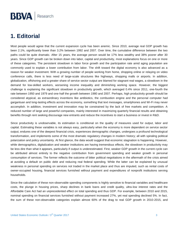### <span id="page-2-0"></span>**1. Editorial**

Most people would agree that the current expansion cycle has been anemic. Since 2010, average real GDP growth has been 2.1%, significantly lower than 3.2% between 1992 and 2007. Over time, the cumulative difference between the two paths could be quite dramatic. After 15 years, the average person would be 17% less wealthy and 38% poorer after 30 years. Since GDP growth can be broken down into labor, capital and productivity, most explanations focus on one or more of these categories. The persistent slowdown in labor force growth and the participation rate amid aging population are commonly used to explain a lower contribution from labor. The shift toward the digital economy is also advanced as a reason for weaker investment. With a growing number of people working from home, shopping online or relaying on video conference calls, there is less need of large-scale structures like highways, shopping malls or airports. In addition, globalization, offshoring and a greater share of service sector output are blamed for stagnant real wages, a slowdown in the demand for low-skilled workers, worsening income inequality and diminishing working space. However, the biggest challenge is explaining the significant slowdown in productivity growth, which averaged 0.4% since 2011, one-fourth the rate between 1950 and 1979 and one-half the growth between 1980 and 2007. Perhaps, high productivity growth should be considered atypical, as extraordinary inventions like antibiotics, the combustion engine and the personal computer had gargantuan and long-lasting effects across the economy, something that text messages, smartphones and Wi-Fi may never accomplish. In addition, investment and innovation may be constrained by the lack of free markets and competition. A reduced number of large and powerful companies, mainly interested in maximizing quarterly financial results and obtaining benefits through rent seeking discourage new entrants and reduce the incentives to start a business or invest in R&D.

Since productivity is unobservable, its estimation is conditional on the quality of measures used for output, labor and capital. Estimating these variables is not always easy, particularly when the economy is more dependent on service sector output, endures one of the deepest financial crisis, experiences demographic changes, undergoes a profound technological transformation, and implements some of the most dramatic regulatory changes in modern history; all with spiraling political polarization and policy uncertainty. At first glance, the data would suggest that economic stagnation is happening. However, while demographics, digitalization and weaker institutions are having tremendous effects, the slowdown in productivity may be less dire than what it appears, particularly if output is underestimated. First, weaker GDP growth in the current cycle can be attributed almost entirely to the negative contribution from government spending and weaker growth in personal consumption of services. The former reflects the outcome of bitter political negotiations in the aftermath of the crisis aimed at avoiding a default on public debt and reducing real federal spending. While the latter can be explained by unusual weakness in personal spending on services not traded in the market place and thus are imputed, such as rental costs of owner-occupied housing, financial services furnished without payment and expenditures of nonprofit institutions serving households.

Since the calculation of these non-observable spending components is highly sensitive to financial variables and healthcare costs, the plunge in housing prices, sharp declines in bank loans and credit quality, ultra-low interest rates and the Affordable Care Act had an unprecedented effect on total spending and thus GDP. For example, between 2010 and 2015, nominal spending on financial services furnished without payment increased 27%, yet real spending declined 5%. In fact, the sum of these non-observable categories explain almost 60% of the drag to real GDP growth in 2010-2015, and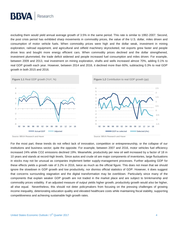

excluding them would yield annual average growth of 3.5% in the same period. This rate is similar to 1992-2007. Second, the post crisis period has exhibited sharp movements in commodity prices, the value of the U.S. dollar, miles driven and consumption of motor vehicle fuels. When commodity prices were high and the dollar weak, investment in mining exploration, railroad equipment, and agricultural and oilfield machinery skyrocketed, net exports grew faster and people drove less and bought more energy efficient cars. When commodity prices declined and the dollar strengthened, investment plummeted, the trade deficit widened and people increased fuel consumption and miles driven. For example, between 2009 and 2013, real investment on mining exploration, shafts and wells increased almost 70%, adding 0.1% to real GDP growth each year. However, between 2014 and 2016, it declined more than 60%, subtracting 0.3% to real GDP growth in both 2015 and 2016.



For the most part, these trends do not reflect lack of innovation, competition or entrepreneurship, or the collapse of our institutions and business sector; quite the opposite. For example, between 2007 and 2016, motor vehicles fuel efficiency increased 24% while CO2 emissions declined 19%. Meanwhile, productivity per new oil well increased by a factor of 18 in 10 years and stands at record-high levels. Since autos and crude oil are major components of inventories, large fluctuations in stocks may not be unusual as companies implement better supply-management processes. Further adjusting GDP for these effects yields a growth rate of 3.2% in 2016, twice as much as the official figure. This does not mean that we should ignore the slowdown in GDP growth and low productivity, nor dismiss official statistics of GDP. However, it does suggest that concerns surrounding stagnation and the digital transformation may be overblown. Particularly since many of the components that explain weaker GDP growth are not traded in the market place and are subject to brinkmanship and commodity prices volatility. If an adjusted measure of output yields higher growth, productivity growth would also be higher, all else equal. Nevertheless, this should not deter policymakers from focusing on the pressing challenges of growing income inequality, deteriorating education quality and elevated healthcare costs while maintaining fiscal stability, supporting competitiveness and achieving sustainable high growth rates.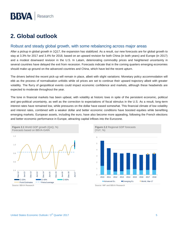### <span id="page-4-0"></span>**2. Global outlook**

#### Robust and steady global growth, with some rebalancing across major areas

After a pickup in global growth in 1Q17, the expansion has stabilized. As a result, our new forecasts are for global growth to stay at 3.3% for 2017 and 3.4% for 2018, based on an upward revision for both China (in both years) and Europe (in 2017) and a modest downward revision in the U.S. In Latam, deteriorating commodity prices and heightened uncertainty in several countries have delayed the exit from recession. Forecasts indicate that in the coming quarters emerging economies should make up ground on the advanced countries and China, which have led the recent upturn.

The drivers behind the recent pick-up will remain in place, albeit with slight variations: Monetary policy accommodation will ebb as the process of normalisation unfolds while oil prices are set to continue their upward trajectory albeit with greater volatility. The flurry of geopolitical events could impact economic confidence and markets, although these headwinds are expected to moderate throughout the year.

The tone in financial markets has been upbeat, with volatility at historic lows in spite of the persistent economic, political and geo-political uncertainty, as well as the correction to expectations of fiscal stimulus in the U.S. As a result, long-term interest rates have remained low, while pressures on the dollar have eased somewhat. This financial climate of low volatility and interest rates, combined with a weaker dollar and better economic conditions have boosted equities while benefiting emerging markets. European assets, including the euro, have also become more appealing, following the French elections and better economic performance in Europe, attracting capital inflows into the Eurozone.



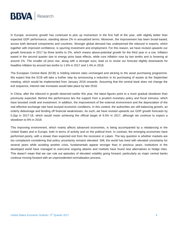

In Europe, economic growth has continued to pick up momentum in the first half of the year, with slightly better than expected GDP performance, standing above 2% in annualized terms. Moreover, the improvement has been broad-based, across both demand components and countries. Stronger global demand has underpinned the rebound in exports, which together with improved confidence, is spurring investment and employment. For this reason, we have revised upwards our growth forecasts in 2017 by three tenths to 2%, which means above-potential growth for the third year in a row. Inflation eased in the second quarter due to energy price base effects, while core inflation rose by two tenths and is hovering at around 1%. The smaller oil price rise, along with a stronger euro, lead us to revise our forecast slightly downwards for headline inflation by around two tenths to 1.6% in 2017 and 1.4% in 2018.

The European Central Bank (ECB) is holding interest rates unchanged and sticking to the asset purchasing programme. We expect that the ECB will take a further step by announcing a reduction in its purchasing of assets at the September meeting, which would be implemented from January 2018 onwards. Assuming that the central bank does not change the exit sequence, interest rate increases would take place by late 2018.

In China, after the rebound in growth observed earlier this year, the latest figures point to a more gradual slowdown than previously expected. Behind this performance lies the support from a prudent monetary policy and fiscal stimulus, which have boosted credit and investment. In addition, the improvement of the external environment and the depreciation of the real effective exchange rate have buoyed economic conditions. In this context, the authorities are still balancing growth, an orderly deleverage and fending off financial weaknesses. As such, we have revised upwards our GDP growth forecasts by 0.2pp in 2017-18, which would mean achieving the official target of 6.5% in 2017, although we continue to expect a slowdown to 6% in 2018.

This improving environment, which mainly affects advanced economies, is being accompanied by a rebalancing in the United States and in Europe, both in terms of activity and on the political front. In contrast, the emerging economies have performed poorly, with a slower than expected exit from the recession in Latam. The key question is whether markets are too complacent considering that policy uncertainty remains elevated. Still, the world has lived with elevated uncertainty for several years while avoiding another crisis, fundamentals appear stronger than in previous years, institutions in the developed world have managed to overcome ongoing attacks and markets have found new alternatives to hedge risks. This doesn't mean that we can rule out episodes of elevated volatility going forward, particularly as major central banks continue moving forward with an unprecedented normalisation process.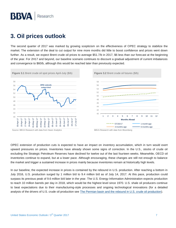### <span id="page-6-0"></span>**3. Oil prices outlook**

The second quarter of 2017 was marked by growing scepticism on the effectiveness of OPEC strategy to stabilize the market. The extension of the deal to cut output for nine more months did little to boost confidence and prices went down further. As a result, we expect Brent crude oil prices to average \$51.7/b in 2017, \$6 less than our forecast at the beginning of the year. For 2H17 and beyond, our baseline scenario continues to discount a gradual adjustment of current imbalances and convergence to \$60/b, although this would be reached later than previously expected.



OPEC extension of production cuts is expected to have an impact on inventory accumulation, which in turn would exert upward pressures on prices. Inventories have already shown some signs of correction. In the U.S., stocks of crude oil excluding the Strategic Petroleum Reserves have declined for twelve out of the last fourteen weeks. Meanwhile, OECD oil inventories continue to expand, but at a lower pace. Although encouraging, these changes are still not enough to balance the market and trigger a sustained increase in prices mainly because inventories remain at historically high levels.

In our baseline, the expected increase in prices is contained by the rebound in U.S. production. After reaching a bottom in July 2016, U.S. production surged by 1 million b/d to 9.4 million b/d as of July 14, 2017. At this pace, production could surpass its previous peak of 9.6 million b/d later in the year. The U.S. Energy Information Administration expects production to reach 10 million barrels per day in 2018, which would be the highest level since 1970. U.S. shale oil producers continue to beat expectations due to their manufacturing-style processes and ongoing technological innovations (for a detailed analysis of the drivers of U.S. crude oil production see [The Permian basin and the rebound in U.S. crude oil production\)](https://www.bbvaresearch.com/en/publicaciones/u-s-the-permian-basin-and-the-rebound-in-u-s-crude-oil-production/).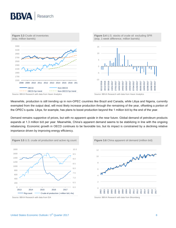

Meanwhile, production is still trending up in non-OPEC countries like Brazil and Canada, while Libya and Nigeria, currently exempted from the output deal, will most likely increase production through the remaining of the year, offsetting a portion of the OPEC's quota. Libya, for example, has plans to boost production beyond the 1 million b/d by the end of the year.

Demand remains supportive of prices, but with no apparent upside in the near future. Global demand of petroleum products expands at 1.3 million b/d per year. Meanwhile, China's apparent demand seems to be stabilizing in line with the ongoing rebalancing. Economic growth in OECD continues to be favorable too, but its impact is constrained by a declining relative importance driven by improving energy efficiency.



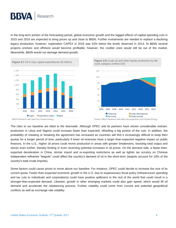In the long-term portion of the forecasting period, global economic growth and the lagged effects of capital spending cuts in 2015 and 2016 are expected to bring prices up and close to \$60/b. Further investments are needed to replace a declining legacy production; however, exploration CAPEX in 2016 was 53% below the levels observed in 2014. At \$60/b several projects onshore and offshore would become profitable; however, the costlier ones would still be out of the market. Meanwhile, \$60/b would not damage demand growth.



The risks to our baseline are tilted to the downside. Although OPEC and its partners have shown considerable restrain, production in Libya and Nigeria could increase faster than expected, offsetting a big portion of the cuts. In addition, the probability of cheating or breaking the agreement has increased as countries will find it increasingly difficult to keep their quotas for a longer period of time, particularly if lower oil revenues have a larger-than-expected negative impact on public finances. In the U.S., higher oil prices could revive production in areas with greater breakevens, boosting total output and stocks even further, thereby limiting or even reversing potential increases in oil prices. On the demand side, a faster-thanexpected deceleration in China, stricter import and re-exporting restrictions as well as tighter tax scrutiny on Chinese independent refineries "teapots" could affect the country's demand of oil in the short-term (teapots account for 18% of the country's total crude imports).

Some factors could cause prices to move above our baseline. For instance, OPEC could decide to increase the size of its current quota. Faster-than-expected economic growth in the U.S. due to expansionary fiscal policy (infrastructure spending and tax cuts to individuals and corporations) could have positive spillovers to the rest of the world that could result in a stronger-than-expected demand. Likewise, growth in other emerging markets could also gain speed, which would lift oil demand and accelerate the rebalancing process. Further volatility could come from current and potential geopolitical conflicts as well as exchange rate volatility.

BBVA Research with data from Rystad Energy Source: BBVA Research with data and projections from Rystad Energy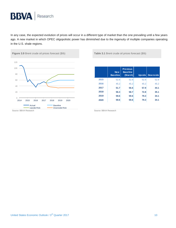In any case, the expected evolution of prices will occur in a different type of market than the one prevailing until a few years ago. A new market in which OPEC oligopolistic power has diminished due to the ingenuity of multiple companies operating in the U.S. shale regions.



|      | New<br><b>Baseline</b> | <b>Previous</b><br><b>Baseline</b><br>(March) |      | Upside Downside |
|------|------------------------|-----------------------------------------------|------|-----------------|
| 2015 | 52.8                   | 52.8                                          | 52.8 | 52.8            |
| 2016 | 45.2                   | 45.2                                          | 45.2 | 45.2            |
| 2017 | 51.7                   | 56.6                                          | 57.9 | 44.1            |
| 2018 | 56.3                   | 58.7                                          | 72.8 | 35.1            |
| 2019 | 59.6                   | 59.6                                          | 79.3 | 34.1            |
| 2020 | 59.6                   | 59.6                                          | 79.3 | 34.1            |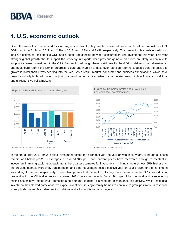### <span id="page-10-0"></span>**4. U.S. economic outlook**

Given the weak first quarter and lack of progress on fiscal policy, we have revised down our baseline forecasts for U.S. GDP growth to 2.1% for 2017 and 2.2% in 2018 from 2.3% and 2.4%, respectively. This projection is consistent with our long-run estimates for potential GDP and a subtle rebalancing between consumption and investment this year. This year stronger global growth should support the recovery in exports while previous gains in oil prices are likely to continue to support increased investment in the Oil & Gas sector. Although there is still time for the GOP to deliver comprehensive tax and healthcare reform the lack of progress to date and inability to pass even partisan reforms suggests that the upside to growth is lower than it was heading into the year. As a result, market, consumer and business expectations, which have been historically high, will have to adjust to an environment characterized by moderate growth, tighter financial conditions and unresponsive policymakers.



Source BBVA Research, FRB NY & FRB Atlanta Source BBVA Research & BEA





In the first quarter 2017, private fixed investment posted the strongest year-on-year growth in six years. Although oil prices remain well below pre-2015 averages, at around \$45 per barrel current prices have recovered enough to reestablish investment in mining exploration equipment; first quarter estimates for investment in mining structures was 55% higher than the previous quarter. Moreover, transportation and other equipment posted positive year-on-year growth for the first time in six and eight quarters, respectively. There also appears that the sector will carry this momentum in the 2H17, as industrial production in the Oil & Gas sector increased 108% year-over-year in June. Stronger global demand and a recovering mining sector have offset weak domestic auto demand, leading to a rebound in manufacturing activity. While residential investment has slowed somewhat, we expect investment in single-family homes to continue to grow positively, in response to supply shortages, favorable credit conditions and affordability for most buyers.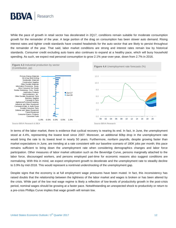

While the pace of growth in retail sector has decelerated in 2Q17, conditions remain suitable for moderate consumption growth for the remainder of the year. A large portion of the drag on consumption has been slower auto demand. Rising interest rates and tighter credit standards have created headwinds for the auto sector that are likely to persist throughout the remainder of the year. That said, labor market conditions are strong and interest rates remain low by historical standards. Consumer credit excluding auto loans also continues to expand at a healthy pace, which will buoy household spending. As such, we expect real personal consumption to grow 2.1% year-over-year, down from 2.7% in 2016.



Source BBVA Research & BEA Source BBVA Research & BEA

In terms of the labor market, there is evidence that cyclical recovery is nearing its end. In fact, in June, the unemployment stood at 4.4%, representing the lowest level since 2007. Moreover, an additional 60bp drop in the unemployment rate would bring the rate to its lowest level in nearly 50 years. Furthermore, nonfarm payrolls, despite growing faster than market expectations in June, are trending at a rate consistent with our baseline scenario of 180K jobs per month; this pace remains sufficient to bring down the unemployment rate when considering demographics changes and labor force participation. Other measures of labor market utilization such as the Beveridge Curve, persons marginally attached to the labor force, discouraged workers, and persons employed part-time for economic reasons also suggest conditions are normalizing. With this in mind, we expect employment growth to decelerate and the unemployment rate to steadily decline to 3.9% by mid-2018. This would represent a nontrivial undershooting of the unemployment gap.

Despite signs that the economy is at full employment wage pressures have been muted. In fact, this inconsistency has raised doubts that the relationship between the tightness of the labor market and wages is broken or has been altered by the crisis. While part of the low real wage regime is likely a reflection of low-levels of productivity growth in the post-crisis period, nominal wages should be growing at a faster pace. Notwithstanding an unexpected shock to productivity or return to a pre-crisis Phillips Curve implies that wage growth will remain low.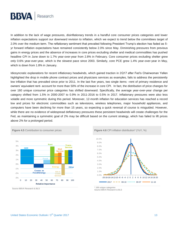

In addition to the lack of wage pressures, disinflationary trends in a handful core consumer prices categories and lower inflation expectations support our downward revision to inflation, which we expect to trend below the committees target of 2.0% over the medium-term. The reflationary sentiment that prevailed following President Trump's election has faded as 5 yr forward inflation expectations have remained consistently below 2.0% since May. Diminishing pressures from previous gains in energy prices and the absence of increases in core prices excluding shelter and medical commodities has pushed headline CPI in June down to 1.7% year-over-year from 2.8% in February. Core consumer prices excluding shelter grew only 0.6% year-over-year, which is the slowest pace since 2003. Similarly, core PCE grew 1.4% year-over-year in May, which is down from 1.8% in January.

Idiosyncratic explanations for recent inflationary headwinds, which gained traction in 2Q17 after Fed's Chairwoman Yellen highlighted the drop in mobile phone contract prices and physicians services as examples, fails to address the persistently low inflation that has prevailed since prior to 2011. In the last five years, two single items –rent of primary residence and owners' equivalent rent- account for more than 50% of the increase in core CPI. In fact, the distribution of price changes for over 160 unique consumer price categories has shifted downward. Specifically, the average year-over-year change per category shifted from 1.5% in 2000-2007 to 0.9% in 2011-2016 to 0.5% in 2017. Inflationary pressures were also less volatile and more symmetric during this period. Moreover, 12-month inflation for education services has reached a record low and prices for electronic commodities such as televisions, wireless telephones, major household appliances, and computers have been declining for more than 15 years, so expecting a quick reversal of course is misguided. However, while there are no evidence of widespread deflationary pressures these persistent headwinds will create challenges for the Fed, as maintaining a symmetric goal of 2% may be difficult based on the current strategy, which has failed to lift prices above 2% for a prolonged period.





Source BBVA Research & BLS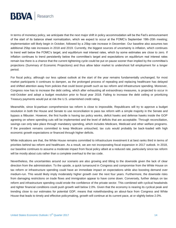

In terms of monetary policy, we anticipate that the next major shift in policy accommodation will be the Fed's announcement of the start of its balance sheet normalization, which we expect to occur at the FOMC's September 19th-20th meeting; implementation will likely begin in October, followed by a 25bp rate increase in December. Our baseline also assumes two additional 25bp rate increases in 2018 and 2019. Currently, the biggest sources of uncertainty is inflation, which continues to trend well below the FOMC's target, and equilibrium real interest rates, which by some estimates are close to zero. If inflation continues to trend persistently below the committee's target and expectations on equilibrium real interest rates remain low there is a chance that the current tightening cycle could be put on pause sooner than implied by the committee's projections (Summary of Economic Projections) and thus allow labor market to undershoot full employment for a longer period.

For fiscal policy, although our less upbeat outlook at the start of the year remains fundamentally unchanged, for most market participants it continues to dampen, as the prolonged process of repealing and replacing healthcare has delayed and shifted attention away from policies that could boost growth such as tax reform and infrastructure spending. Moreover, Congress now has to increase the debt ceiling, which after exhausting all extraordinary measures, is projected to occur in mid-October and adopt a budget resolution prior to fiscal year 2018. Failing to increase the debt ceiling or prioritizing Treasury payments would put at risk the U.S. untarnished credit rating.

Meanwhile, since bi-partisan comprehensive tax reform is close to impossible, Republicans will try to approve a budget resolution in both the House and Senate to use reconciliation to pass tax reform with a simple majority in the Senate and bypass a filibuster. However, the first hurdle is having tax policy wonks, deficit hawks and defense hawks inside the GOP agreeing on where spending cuts will be implemented and the level of deficits that are acceptable. Through reconciliation, savings can only take place through mandatory spending, which includes Medicare, Medicaid and other welfare programs. If the president remains committed to keep Medicare untouched, tax cuts would probably be back-loaded with high economic growth expectations or financed through higher deficits.

While indications are that, the White House remains committed to infrastructure investment it at best ranks third in terms of priorities behind tax reform and healthcare. As a result, we are not incorporating fiscal expansion in 2017 outlook. In 2018, our baseline continues to assume a moderate impact from fiscal policy albeit at a reduced rate, particularly since tax reform will be mostly about cuts rather than a complete overhaul to the tax code.

Nevertheless, the uncertainties around our scenario are also growing and tilting to the downside given the lack of clear direction from the administration. To the upside, a quick turnaround in Congress and compromise from the White House on tax reform or infrastructure spending could have an immediate impact on expectations while also boosting demand over medium-run. This would likely imply moderately higher growth over the next four years. Furthermore, the downside risks from damaging restrictions on trade flows and immigration appear to have come down. Conversely, further delays on tax reform and infrastructure spending could erode the confidence of the private sector. This combined with cyclical headwinds and tighter financial conditions could push growth well below 2.0%. Given that the economy is nearing its cyclical peak and trending close to our estimates for potential GDP, means that notwithstanding an about-face from Congress and White House that leads to timely and effective policymaking, growth will continue at its current pace, at or slightly below 2.0%.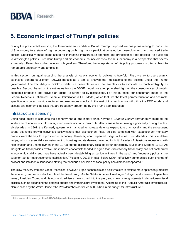### <span id="page-14-0"></span>**5. Economic impact of Trump's policies**

During the presidential election, the then-president-candidate Donald Trump proposed various plans aiming to boost the U.S. economy to a state of high economic growth, high labor participation rate, low unemployment, and reduced trade deficits. Specifically, those plans asked for increasing infrastructure spending and protectionist trade policies. As outsiders to Washington politics, President Trump and his economic counselors view the U.S. economy in a perspective that seems extremely different from other veteran policymakers. Therefore, the interpretation of his policy proposals is often subject to remarkable uncertainty and ambiguity.

In this section, our goal regarding the analysis of today's economic policies is two-fold. First, we try to use dynamic stochastic general-equilibrium (DSGE) models as a tool to analyze the implications of the policies under the Trump government. The tractability of DSGE models is a desirable feature that enables us to eliminate as much ambiguity as possible. Second, based on the estimates from the DSGE model, we attempt to shed light on the consequences of certain economic proposals and provide an anchor to further policy discussions. For this purpose, our benchmark model is the Federal Reserve's Estimated Dynamic Optimization (EDO) Model, which features the latest parameterization and desirable specifications on economic structures and exogenous shocks. In the rest of this section, we will utilize the EDO model and discuss two economic policies that are frequently brought up by the Trump administration.

#### Infrastructure spending

Using fiscal policy to stimulate the economy has a long history since Keynes's *General Theory* permanently changed the landscape of economics. However, mainstream opinions toward its effectiveness have swung significantly during the last six decades. In 1961, the Kennedy government managed to increase defense expenditure dramatically, and the subsequent strong economic growth convinced policymakers that discretionary fiscal policies combined with expansionary monetary policies were the key to a prosperous economy. However, upon repeated usage in the next two decades, this stimulative recipe, which is essentially an instrument to boost aggregate demand, reached its limit. A series of disastrous recessions with high inflation and unemployment in the 1970s put the discretionary fiscal policy under scrutiny (Lucas and Sargent, 1981). As thoughts on fiscal policies evolve, most macro economists tended to agree that "discretionary fiscal policy has not contributed to economic stability and may have actually been destabilizing at particular times in the past," and "monetary policy is the superior tool for macroeconomic stabilization."(Feldstein, 2002) In fact, Solow (2004) effectively summarized such change of political and intellectual landscape stating that "serious discussion of fiscal policy has almost disappeared."

The slow recovery from the Great Recession, however, urges economists and policymakers to explore more options to jumpstart the economy and reconsider the role of the fiscal policy. As the "Make America Great Again" slogan and a series of speeches reveal, President Trump and his economic advisors have looked into the past, and shown strong interests in discretionary fiscal policies such as expanding the defense budget and infrastructure investment. According to the "Rebuild America's Infrastructure" plan released by the White House, $^1$  the President "has dedicated \$200 billion in his budget for infrastructure."

 $\overline{a}$ 

<sup>1:</sup> https://www.whitehouse.gov/blog/2017/06/08/president-trumps-plan-rebuild-americas-infrastructure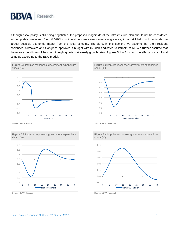

Although fiscal policy is still being negotiated, the proposed magnitude of the infrastructure plan should not be considered as completely irrelevant. Even if \$200bn in investment may seem overly aggressive, it can still help us to estimate the largest possible economic impact from the fiscal stimulus. Therefore, in this section, we assume that the President convinces lawmakers and Congress approves a budget with \$200bn dedicated to infrastructure. We further assume that the extra expenditure will be spent in eight quarters at steady growth rates. Figures 5.1 – 5.4 show the effects of such fiscal stimulus according to the EDO model.





Source: BBVA Research Source: BBVA Research Source: BBVA Research Source: BBVA Research



**Figure 5.3** Impulse responses: government expenditure shock (%)







Source: BBVA Research Source: BBVA Research Source: BBVA Research Source: BBVA Research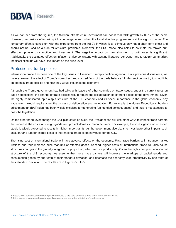

As we can see from the figures, the \$200bn infrastructure investment can boost real GDP growth by 0.8% at the peak. However, the positive effect will quickly converge to zero when the fiscal stimulus program ends at the eighth quarter. The temporary effect is consistent with the experience from the 1960's in which fiscal stimulus only has a short-term effect and should not be used as a cure for structural problems. Moreover, the EDO model also helps to estimate the "crowd out" effect on private consumption and investment. The negative impact on their short-term growth rates is significant. Additionally, the estimated effect on inflation is also consistent with existing literature. As Dupor and Li (2015) summarize, the fiscal stimulus will have little impact on the price level.

#### Protectionist trade policies

International trade has been one of the key issues in President Trump's political agenda. In our previous discussions, we have examined the effect of Trump's speeches<sup>2</sup> and stylized facts of the trade balance.<sup>3</sup> In this section, we try to shed light on potential trade policies and how they would influence the economy.

Although the Trump government has had talks with leaders of other countries on trade issues, under the current rules on trade negotiations, the change of trade policies would require the collaboration of different bodies of the government. Given the highly complicated input-output structure of the U.S. economy and its sheer importance in the global economy, any trade reform would require a lengthy process of deliberation and negotiation. For example, the House Republicans' borderadjustment tax (BAT) plan has been widely criticized for generating "unintended consequences" and thus is not expected to pass the legislation.

On the other hand, even though the BAT plan could be axed, the President can still use other ways to impose trade barriers that increase the costs of foreign goods and protect domestic manufacturers. For example, the investigation on imported steels is widely expected to results in higher import tariffs. As the government also plans to investigate other imports such as sugar and lumber, higher costs of international trade seem inevitable for the U.S.

The rising cost of international trade will have adverse effects on the economy. First, trade barriers will introduce market frictions and thus increase price markups of affected goods. Second, higher costs of international trade will also cause structural changes in the globally integrated supply chain, which reduce productivity. Given the highly complex input-output structure of the U.S. economy, we assume that more trade barriers will increase the markups of capital goods and consumption goods by one tenth of their standard deviation, and decrease the economy-wide productivity by one tenth of their standard deviation. The results are in Figures 5.5 to 5.8.

 $\overline{a}$ 

<sup>2:</sup> https://www.bbvaresearch.com/en/publicaciones/u-s-big-data-analysis-trump-effect-on-trade-narratives/

<sup>3:</sup> https://www.bbvaresearch.com/en/publicaciones/u-s-the-trade-deficit-dont-fear-the-beast/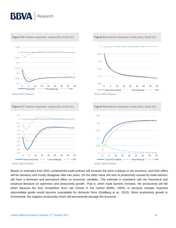

Source: BBVA Research Source: BBVA Research Source: BBVA Research Source: BBVA Research

-0.9 -0.8

0 5 10 15 20 25 30 35 40 Core PCE Inflation  $-$  - Price Markups  $-$  - TFP

0

Based on estimates from EDO, protectionist trade policies will increase the price markups in the economy, and their effect will be transitory and mostly disappear after two years. On the other hand, the loss of productivity caused by trade barriers will have a dominant and permanent effect on economic variables. This estimate is consistent with the theoretical and empirical literature on openness and productivity growth. That is, when trade barriers increase, the productivity will fall either because the less competitive firms can remain in the market (Melitz, 2003), or because cheaper imported intermediate goods would become unavailable for domestic firms (Goldberg et al., 2010). Since productivity growth is incremental, the negative productivity shock will permanently damage the economy.

0 5 10 15 20 25 30 35 40 Real Investment  $\overline{\phantom{a}}$   $\overline{\phantom{a}}$  Price Markups  $\overline{\phantom{a}}$   $\overline{\phantom{a}}$  TFP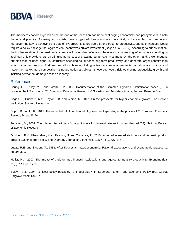

The mediocre economic growth since the end of the recession has been challenging economists and policymakers in both theory and practice. As many economists have suggested, headwinds are more likely to be secular than temporary. Moreover, the key to achieving the goal of 3% growth is to provide a strong boost to productivity, and such increase would require a policy package that aggressively incentivizes private investment (Cogan et al., 2017). According to our estimation, the implementation of the president's agenda will have mixed effects on the economy. Increasing infrastructure spending by itself can only provide short-run stimulus at the cost of crowding out private investment. On the other hand, a well-thoughtout plan that includes higher infrastructure spending could boost long-term productivity, and generate larger benefits than what our model predicts. Furthermore, although renegotiating out-of-date trade agreements can eliminate frictions and make the market more competitive, using protectionist policies as leverage would risk weakening productivity growth and inflicting permanent damages to the economy.

#### References

Chung, H.T., Kiley, M.T. and Laforte, J.P., 2010. Documentation of the Estimated, Dynamic, Optimization-based (EDO) model of the US economy: 2010 version. Division of Research & Statistics and Monetary Affairs, Federal Reserve Board.

Cogan, J., Hubbard, R.G., Taylor, J.B. and Warsh, K., 2017. On the prospects for higher economic growth. The Hoover Institution, Stanford University.

Dupor, B. and Li, R., 2015. The expected inflation channel of government spending in the postwar US. European Economic Review, 74, pp.36-56.

Feldstein, M., 2002. The role for discretionary fiscal policy in a low interest rate environment (No. w9203). National Bureau of Economic Research.

Goldberg, P.K., Khandelwal, A.K., Pavcnik, N. and Topalova, P., 2010. Imported intermediate inputs and domestic product growth: Evidence from India. The Quarterly Journal of Economics, 125(4), pp.1727-1767.

Lucas, R.E. and Sargent, T., 1981. After Keynesian macroeconomics. Rational expectations and econometric practice, 1, pp.295-319.

Melitz, M.J., 2003. The impact of trade on intra‐industry reallocations and aggregate industry productivity. Econometrica, 71(6), pp.1695-1725.

Solow, R.M., 2004. Is fiscal policy possible? Is it desirable?. In Structural Reform and Economic Policy (pp. 23-39). Palgrave Macmillan UK.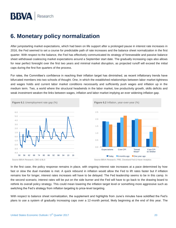### <span id="page-19-0"></span>**6. Monetary policy normalization**

After jumpstarting market expectations, which had been on life support after a prolonged pause in interest rate increases in 2016, the Fed seemed to set a course for predictable path of rate increases and the balance sheet normalization in the first quarter. With respect to the balance, the Fed has effectively communicated its strategy of foreseeable and passive balance sheet withdrawal coalescing market expectations around a September start date. The gradually increasing caps also allows for near perfect foresight over the first two years and minimal market disruption, as projected runoff will exceed the initial caps during the first five quarters of the process.

For rates, the Committee's confidence in reaching their inflation target has diminished, as recent inflationary trends have bifurcated members into two schools of thought. One, in which the established relationships between labor market tightness and wages holds and current labor market conditions necessarily and sufficiently push wages and inflation up in the medium term. Two, a world where the structural headwinds in the labor market, low productivity growth, skills deficits and weak investment weaken the links between wages, inflation and labor market implying an ever widening inflation gap.



In the first case, the policy response remains in place, with ongoing interest rate increases at a pace determined by how fast or slow the dual mandate is met. A quick rebound in inflation would allow the Fed to lift rates faster but if inflation remains low for longer, interest rates increases will have to be delayed. The Fed leadership seems to be in this camp. In the second scenario, interest rates will be put on the side burner and the Fed will have to go back to the drawing board to rethink its overall policy strategy. This could mean lowering the inflation target level or something more aggressive such as switching the Fed's strategy from inflation targeting to price-level targeting.

With respect to balance sheet normalization, the supplement and highlights from June's minutes have solidified the Fed's plans to use a system of gradually increasing caps over a 12-month period, likely beginning at the end of this year. The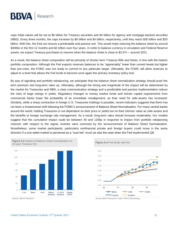

caps initial values will be set at \$6 billion for Treasury securities and \$4 billion for agency and mortgage-backed securities (MBS). Every three months, the caps increase by \$6 billion and \$4 billion, respectively, until they reach \$30 billion and \$20 billion. With this, the Fed can ensure a predictable and passive exit. This would imply reducing the balance sheet by around \$300bn in the first 12 months and \$2 trillion over four years. In order to balance currency in circulation and Federal Reserve assets, we expect Treasury purchases to resume when the balance sheet is close to \$2.5Tr— around 2021.

As a result, the balance sheet composition will be primarily of shorter-term Treasury Bills and Notes, in line with the historic portfolio composition. Although the Fed expects reserves balances to be "appreciably" lower than current levels but higher than pre-crisis, the FOMC was not ready to commit to any particular target. Ultimately, the FOMC will allow reserves to adjust to a level that allows the Fed funds to become once again the primary monetary policy tool.

By way of signaling and portfolio rebalancing, we anticipate that the balance sheet normalization strategy should push the term premium and long-term rates up. Ultimately, although the timing and magnitude of the impact will be determined by the market for Treasuries and MBS, a clear communication strategy and a predictable and passive implementation reduce the risks of large swings in yields. Regulatory changes to money market funds and stricter capital requirements from commercial banks lower the probability of an immediate misalignment, as their need for safe-assets has increased. Similarly, while a sharp contraction in foreign U.S. Treasuries holdings is possible, recent indicators suggests that there has not been a fundamental shift following the FOMC's announcement of Balance Sheet Normalization. For many central banks around the world, holding Treasuries is not dependent on their price or yields but on their intrinsic value as safe assets and the benefits to foreign exchange rate management. As a result, long-term rates should increase moderately. Our models suggest that the cumulative impact could be between 40 and 120bp in response to impact from portfolio rebalancing channel; with respect to the signal, investor were unmoved by the announcement of Balance Sheet Normalization. Nonetheless, some market participants, particularly nonfinancial private and foreign buyers could move in the same direction if a one-sided market is perceived as a "sure bet" much as was the case when the Fed implemented QE.





Source: BBVA Research Source: BBVA Research, CBO, FRB & Bloomberg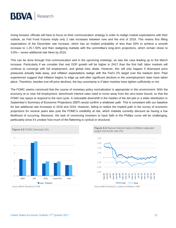

Going forward, officials will have to focus on their communication strategy in order to realign market expectations with their outlook, as Fed Fund Futures imply only 2 rate increases between now and the end of 2019. This means first lifting expectations of the December rate increase, which has an implied probability of less than 50% to achieve a smooth increase to 1.25-1.50% and then realigning markets with the committee's long-term projections, which remain closer to 3.0%— seven additional rate hikes by 2019.

This can be done through Fed communication and in the upcoming meetings, as was the case leading up to the March increase. Particularly if we consider that real GDP growth will be higher in 2H17 than the first half, labor markets will continue to converge with full employment, and global risks abate. However, this will only happen if downward price pressures actually fade away, and inflation expectations realign with the Fed's 2% target over the medium term. Past experiences suggest that inflation begins to edge up well after significant declines in the unemployment rates have taken place. Therefore, besides one-off price declines, the key uncertainty is if labor markets have tighten sufficiently or not.

The FOMC seems convinced that the course of monetary policy normalization is appropriate in this environment. With the economy at or near full employment, benchmark interest rates need to move away from the zero-lower bound, so that the FOMC has space to respond to the next cycle. A noticeable downshift in the median of the dot plot or a wider distribution in September's Summary of Economic Projections (SEP) would confirm a shallower path. This is consistent with our baseline for two additional rate increases in 2018 and 2019. However, failing to realize the implied path in the survey of economic projections for several years also puts the FOMC's credibility at risk, which markets currently discount as having a low likelihood of occurring. Moreover, the task of convincing investors to have faith in the Phillips curve will be challenging, particularly since it's unclear how much of the flattening is cyclical or structural.



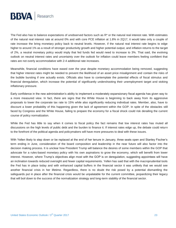

The Fed also has to balance expectations of unobserved factors such as R\* or the natural real interest rate. With estimates of the natural real interest rate at around 0% and with core PCE inflation at 1.8% in 2Q17, it would take only a couple of rate increase the bring monetary policy back to neutral levels. However, if the natural real interest rate begins to edge higher to around 1% as a result of stronger productivity growth and higher potential output, and inflation returns to the target of 2%, a neutral monetary policy would imply that fed funds fed would need to increase to 3%. That said, the evolving outlook on neutral interest rates and uncertainty over the outlook for inflation could leave members feeling confident that rates are not overly accommodative with 2-4 additional rate increases.

Meanwhile, financial conditions have eased over the year despite monetary accommodation being removed, suggesting that higher interest rates might be needed to prevent the likelihood of an asset price misalignment and contain the risks of the bubble bursting if one actually exists. Officials also have to contemplate the potential effects of fiscal stimulus and financial deregulation, which increase the potential of significantly undershooting their unemployment target and stoking inflationary pressure.

Early confidence in the new administration's ability to implement a moderately expansionary fiscal agenda has given way to a more measured view. In fact, there are signs that the White House is beginning to back away from its aggressive proposals to lower the corporate tax rate to 15% while also significantly reducing individual rates. Member, also, have to discount a lower probability of this happening given the lack of agreement within the GOP. In spite of the obstacles still faced by Congress and the White House, failing to prepare the economy for a fiscal shock could risk derailing the current course of policy normalization.

While the Fed has little to say when it comes to fiscal policy the fact remains that low interest rates has muted all discussions on the high levels of public debt and the burden to finance it. If interest rates edge up, the debate could return to the forefront of the political agenda and policymakers will have more pressures to deal with these issues.

With Yellen likely to step down or be replaced at the end of her tenure in January, three seats open and Stanley Fischer's term ending in June, consideration of the board composition and leadership in the near future will also factor into the decision making process. It is unclear how President Trump will balance the desires of some members within the GOP that advocate for a rules-based monetary policy with his own aspirations to grow the economy, which will benefit from lower interest. However, where Trump's objectives align most with the GOP is on deregulation, suggesting appointees will have an inclination towards reduced oversight and fewer capital requirements. Yellen has said that with the macroprudential tools the Fed has in place today and with enhanced capital buffers in the financial sector it was unlikely that we would see another financial crisis in her lifetime. Regardless, there is no doubt the risk posed by a potential dismantling the safeguards put in place after the financial crisis would be unpalatable for the current committee, jeopardizing their legacy that will boil down to the success of the normalization strategy and long-term stability of the financial sector.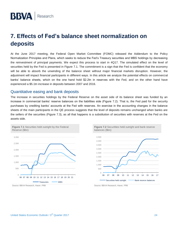### <span id="page-23-0"></span>**7. Effects of Fed's balance sheet normalization on deposits**

At the June 2017 meeting, the Federal Open Market Committee (FOMC) released the Addendum to the Policy Normalization Principles and Plans, which seeks to reduce the Fed's Treasury securities and MBS holdings by decreasing the reinvestment of principal payments. We expect this process to start in 4Q17. The simulated effect on the level of securities held by the Fed is presented in Figure 7.1. The commitment is a sign that the Fed is confident that the economy will be able to absorb the unwinding of the balance sheet without major financial markets disruption. However, the adjustment will impact financial participants in different ways. In this article we analyze the potential effects on commercial banks' balance sheets, which on the one hand hold \$2.2tn in reserves with the Fed, and on the other hand have experienced a \$5.1tn increase in deposits between 2007 and 2016.

#### Quantitative easing and bank deposits

The increase in securities holdings by the Federal Reserve on the asset side of its balance sheet was funded by an increase in commercial banks' reserve balances on the liabilities side (Figure 7.2). That is, the Fed paid for the security purchases by crediting banks' accounts at the Fed with reserves. An exercise in the accounting changes in the balance sheets of the main participants in the QE process suggests that the level of deposits remains unchanged when banks are the sellers of the securities (Figure 7.3), as all that happens is a substitution of securities with reserves at the Fed on the assets side.



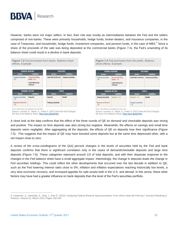

However, banks were not major sellers. In fact, their role was mostly as intermediaries between the Fed and the sellers comprised of non-banks. These were primarily households, hedge funds, broker-dealers, and insurance companies, in the case of Treasuries, and households, hedge funds, investment companies, and pension funds, in the case of MBS.<sup>4</sup> Since a share of the proceeds of the sale was being deposited at the commercial banks (Figure 7.4), the Fed's unwinding of its balance sheet could result in a decline in bank deposits.



A close look at the data confirms that the effect of the three rounds of QE on demand and checkable deposits was strong and positive. The impact on time deposits was also strong but negative. Meanwhile, the effects on savings and small time deposits seem negligible. After aggregating all the deposits, the effects of QE on deposits lose their significance (Figure 7.5). This suggests that the impact of QE may have boosted some deposits but at the same time depressed other, with a net impact close to zero.

A review of the cross-corellograms of the QoQ percent changes in the levels of securities held by the Fed and bank deposits confirms that there is significant correlation only in the cases of demand/checkable deposits and large time deposits (Figure 7.6). These categories represent around 1/3 of total deposits, and with their disparate response to the changes in the Fed balance sheet have a small aggregate impact. Interestingly, the change in deposits leads the change in Fed securities holdings. This could reflect the other developments that occurred over the last decade in addition to QE, such as the Fed lowering interest rates close to 0%, inflation and inflation expectations reaching historically low levels, a very slow economic recovery, and increased appetite for safe assets both in the U.S. and abroad. In this sense, these other factors may have had a greater influence on bank deposits than the level of the Fed's securities portfolio.

 $\overline{a}$ 

<sup>4:</sup> Carpenter, S., Demiralp, S., Ihrig, J., Klee E. (2015). Analyzing Federal Reserve asset purchases: From whom does the Fed buy? Journal of Banking & Finance, Volume 52, March 2015, Pages 230-244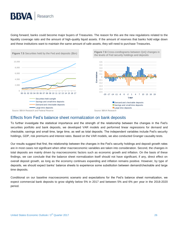Going forward, banks could become major buyers of Treasuries. The reason for this are the new regulations related to the liquidity coverage ratio and the amount of high-quality liquid assets. If the amount of reserves that banks hold edge down and these institutions want to maintain the same amount of safe assets, they will need to purchase Treasuries.



### Effects from Fed's balance sheet normalization on bank deposits

To further investigate the statistical importance and the strength of the relationship between the changes in the Fed's securities portfolio and bank deposits, we developed VAR models and performed linear regressions for demand and checkable, savings and small time, large time, as well as total deposits. The independent variables include Fed's security holdings, GDP, risk premiums and interest rates. Based on the VAR models, we also conducted Granger causality tests.

Our results suggest that first, the relationship between the changes in the Fed's security holdings and deposit growth rates are in most cases not significant when other macroeconomic variables are taken into consideration. Second, the changes in total deposits are mainly driven by macroeconomic factors such as economic growth and inflation. On the basis of these findings, we can conclude that the balance sheet normalization itself should not have significant, if any, direct effect on overall deposit growth, as long as the economy continues expanding and inflation remains positive. However, by type of deposits, we should expect banks' balance sheets to experience some substitution between demand/checkable and large time deposits.

Conditional on our baseline macroeconomic scenario and expectations for the Fed's balance sheet normalization, we expect commercial bank deposits to grow slightly below 5% in 2017 and between 5% and 6% per year in the 2018-2020 period.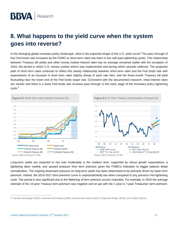### <span id="page-26-0"></span>**8. What happens to the yield curve when the system goes into reverse?**

In the diverging global monetary policy landscape, what is the expected shape of the U.S. yield curve? The pass-through of four Fed funds rate increases by the FOMC to short-term rates has been in line with past tightening cycles. The relationship between Treasury bill yields and other money market interest rates has on average remained stable with the exception of 2016, the period in which U.S. money market reform was implemented and during which spreads widened. The projected path of short term rates continues to reflect this steady relationship between short-term rates and the Fed funds rate with expectations of an increase in short term rates slightly ahead of each rate hike, and the three-month Treasury bill yield fluctuating near the lower end of the Fed funds target rate. Consistent with the documented research, retail interest rates are stickier and there is a lower Fed funds rate increase pass-through in this early stage of the monetary policy tightening cycle.<sup>5</sup>



 $\overline{a}$ 

Long-term yields are expected to rise only moderately in the medium term, supported by robust growth expectations, a tightening labor market, and upward pressure from term premium given the FOMC's indication to trigger balance sheet normalization. The ongoing downward pressure on long-term yields has been determined to be primarily driven by lower term premium. Indeed, the 2015-2017 term-premium curve is unprecedentedly low when compared to any previous Fed tightening cycle. The period is also significant due to the flattening of term premium across maturities. For example, in 2016 the average estimate of the 10-year Treasury term-premium was negative and on par with the 1-year to 7-year Treasuries' term premium.

<sup>5:</sup> Hannan and Berger (1991), Neumark and Sharpe (1992), Driscoll and Judson (2013), Craig and Dinger (2014), and Yankov (2014).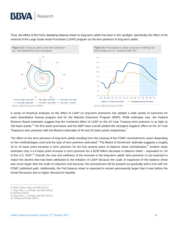Thus, the effect of the Fed's depleting balance sheet on long-term yields has been in the spotlight, specifically the effect of the reversal of the Large Scale Asset Purchases (LSAP) program on the term premium of long-term yields.



A series of empirical analyses on the effect of LSAP on long-term premiums has yielded a wide variety of outcomes for each Quantitative Easing program and for the Maturity Extension Program (MEP). While estimates vary, the Federal Reserve Board estimates suggest that the combined effect of LSAP on the 10-Year Treasury term premium is as high as 100 basis points.<sup>6</sup> The first asset purchases and the MEP have overall yielded the strongest negative effect on the 10-Year Treasury's term premium with the Board's estimates of 40 and 20 basis points respectively.<sup>7</sup>

The effect on the term premium of long term yields resulting from the ceasing of the FOMC reinvestments varies depending on the methodologies used and the type of term premium estimated.<sup>8</sup> The Board of Governors' estimate suggests a roughly 10 to 15 basis point increase in term premium for the first several years of balance sheet normalization.<sup>9</sup> Another study estimates only a 4.4 basis point increase in term premium for a \$190 billion decrease in balance sheet – equivalent to 1% of the U.S. GDP.<sup>10</sup> Overall, the size and swiftness of the increase in the long-term yields' term-premium is not expected to match the decline that had been attributed to the initiation of LSAP because the scale of expansion of the balance sheet was much larger than the scale of reduction and because, the reinvestment will be phased out gradually and in line with the FOMC published path. Additionally, the Fed balance sheet is expected to remain permanently larger than it was before the Great Recession due to higher demand for liquidity.

8: Durham (2014).

 $\overline{a}$ 

<sup>6:</sup> Bonis, Brian, Ihrig, and Wei (2017).

<sup>7:</sup> Ihrig, Klee, Li, Schulte, and Wei (2012).

<sup>9:</sup> Ihrig, Klee, Li, Schulte, and Wei (2012).

<sup>10:</sup> Davig and Smith (2017).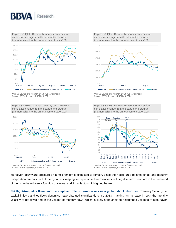

**Figure 8.5** QE1: 10-Year Treasury term premium cumulative change from the start of the program (bp, normalized to the announcement date=100)



\*Adrian, Crump, and Moench (2013) five-factor model Source: BBVA Research, FRBNY & FRB

**Figure 8.7** MEP: 10-Year Treasury term premium cumulative change from the start of the program (bp, normalized to the announcement date=100)



**Figure 8.6** QE2: 10-Year Treasury term premium cumulative change from the start of the program (bp, normalized to the announcement date=100)



<sup>\*</sup>Adrian, Crump, and Moench (2013) five-factor model Source: BBVA Research, FRBNY & FRB

**Figure 8.8** QE3: 10-Year Treasury term premium cumulative change from the start of the program



Source: BBVA Research, FRBNY & FRB

Moreover, downward pressure on term premium is expected to remain, since the Fed's large balance sheet and maturity composition are only part of the dynamics keeping term-premium low. Two years of negative term premium in the back-end of the curve have been a function of several additional factors highlighted below.

**Net flight-to-quality flows and the amplified role of duration risk as a global shock absorber**: Treasury Security net capital inflows and outflows dynamics have changed significantly since 2013, marking an increase in both the monthly volatility of net flows and in the volume of monthly flows, which is likely attributable to heightened volumes of safe haven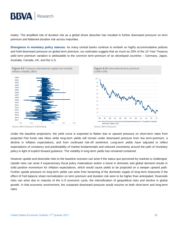

trades. The amplified role of duration risk as a global shock absorber has resulted in further downward pressure on term premium and flattened duration risk across maturities.

**Divergence in monetary policy stances**: As many central banks continue to embark on highly accommodative policies and hold downward pressure on global term premium, our estimates suggest that as much as 20% of the 10-Year Treasury yield term premium variation is attributable to the common term-premium of six developed countries – Germany, Japan, Australia, Canada, UK, and the U.S.



Under the baseline projections, the yield curve is expected to flatten due to upward pressure on short-term rates from projected Fed funds rate hikes while long-term yields will remain under downward pressure from low term-premium, a decline in inflation expectations, and from continued risk-off sentiment. Long-term yields have adjusted to reflect expectations of constancy and predictability of market fundamentals and reduced uncertainty around the path of monetary policy in light of explicit forward guidance. The volatility in long-term yields has remained contained.

However upside and downside risks to the baseline scenario can arise if the status quo perceived by markets is challenged. Upside risks can arise if expansionary fiscal policy materializes and/or a boost in domestic and global demand results in solid positive momentum for inflation expectations, which would cause yields to be projected on a steeper upward path. Further upside pressure on long-term yields can arise from loosening of the domestic supply of long-term treasuries if the effect of Fed balance sheet normalization on term premium and duration risk were to be higher than anticipated. Downside risks can arise due to maturity of the U.S economic cycle, the intensification of geopolitical risks and decline in global growth. In that economic environment, the sustained downward pressure would resume on both short-term and long-term rates.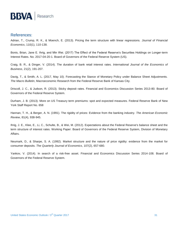

#### References:

Adrian, T., Crump, R. K., & Moench, E. (2013). Pricing the term structure with linear regressions. *Journal of Financial Economics*, 110(1), 110-138.

Bonis, Brian, Jane E. Ihrig, and Min Wei. (2017) The Effect of the Federal Reserve's Securities Holdings on Longer-term Interest Rates. No. 2017-04-20-1. Board of Governors of the Federal Reserve System (US).

Craig, B. R., & Dinger, V. (2014). The duration of bank retail interest rates. *International Journal of the Economics of Business*, 21(2), 191-207.

Davig, T., & Smith, A. L. (2017, May 10). Forecasting the Stance of Monetary Policy under Balance Sheet Adjustments. *The Macro Bulletin*, Macroeconomic Research from the Federal Reserve Bank of Kansas City.

Driscoll, J. C., & Judson, R. (2013). Sticky deposit rates. Financial and Economics Discussion Series 2013-80. Board of Governors of the Federal Reserve System.

Durham, J. B. (2013). More on US Treasury term premiums: spot and expected measures. Federal Reserve Bank of New York Staff Report No. 658

Hannan, T. H., & Berger, A. N. (1991). The rigidity of prices: Evidence from the banking industry. *The American Economic Review*, 81(4), 938-945.

Ihrig, J. E., Klee, E., Li, C., Schulte, B., & Wei, M. (2012). Expectations about the Federal Reserve's balance sheet and the term structure of interest rates. Working Paper: Board of Governors of the Federal Reserve System, Division of Monetary Affairs.

Neumark, D., & Sharpe, S. A. (1992). Market structure and the nature of price rigidity: evidence from the market for consumer deposits. *The Quarterly Journal of Economics*, 107(2), 657-680.

Yankov, V. (2014). In search of a risk-free asset. Financial and Economics Discussion Series 2014-108. Board of Governors of the Federal Reserve System.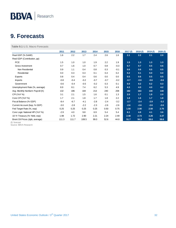### <span id="page-31-0"></span>**9. Forecasts**

**Table 9.1** U.S. Macro Forecasts

|                                  | 2011   | 2012   | 2013   | 2014   | 2015   | 2016   | 2017(f) | 2018 (f) | 2019 (f) | 2020(f) |
|----------------------------------|--------|--------|--------|--------|--------|--------|---------|----------|----------|---------|
| Real GDP (% SAAR)                | 1.6    | 2.2    | 1.7    | 2.4    | 2.6    | 1.6    | 2.1     | 2.2      | 2.1      | 2.0     |
| Real GDP (Contribution, pp)      |        |        |        |        |        |        |         |          |          |         |
| <b>PCE</b>                       | 1.5    | 1.0    | 1.0    | 1.9    | 2.2    | 1.9    | 1.5     | 1.3      | 1.3      | 1.3     |
| Gross Investment                 | 0.7    | 1.6    | 1.0    | 0.7    | 0.8    | $-0.3$ | 0.7     | 0.7      | 0.5      | 0.6     |
| Non Residential                  | 0.9    | 1.1    | 0.4    | 0.8    | 0.3    | $-0.1$ | 0.6     | 0.6      | 0.5      | 0.5     |
| Residential                      | 0.0    | 0.3    | 0.3    | 0.1    | 0.4    | 0.2    | 0.2     | 0.1      | 0.0      | 0.0     |
| Exports                          | 0.8    | 0.4    | 0.4    | 0.6    | 0.0    | 0.0    | 0.5     | 0.6      | 0.5      | 0.5     |
| <b>Imports</b>                   | $-0.8$ | $-0.4$ | $-0.2$ | $-0.7$ | $-0.7$ | $-0.2$ | $-0.7$  | $-0.6$   | $-0.6$   | $-0.6$  |
| Government                       | $-0.6$ | $-0.4$ | $-0.5$ | $-0.2$ | 0.3    | 0.1    | 0.0     | 0.2      | 0.2      | 0.3     |
| Unemployment Rate (%, average)   | 8.9    | 8.1    | 7.4    | 6.2    | 5.3    | 4.9    | 4.3     | 4.0      | 4.0      | 4.2     |
| Avg. Monthly Nonfarm Payroll (K) | 132    | 186    | 184    | 213    | 240    | 208    | 182     | 163      | 140      | 140     |
| CPI (YoY %)                      | 3.1    | 2.1    | 1.5    | 1.6    | 0.1    | 1.3    | 2.0     | 1.7      | 1.9      | 2.0     |
| Core CPI (YoY %)                 | 1.7    | 2.1    | 1.8    | 1.7    | 1.8    | 2.2    | 1.8     | 1.6      | 1.7      | 1.8     |
| Fiscal Balance (% GDP)           | $-8.4$ | $-6.7$ | $-4.1$ | $-2.8$ | $-2.4$ | $-3.2$ | $-2.7$  | $-2.4$   | $-2.9$   | $-3.2$  |
| Current Account (bop, % GDP)     | $-3.0$ | $-2.8$ | $-2.2$ | $-2.3$ | $-2.6$ | $-2.6$ | $-2.6$  | $-2.6$   | $-2.6$   | $-2.6$  |
| Fed Target Rate (%, eop)         | 0.25   | 0.25   | 0.25   | 0.25   | 0.50   | 0.75   | 1.50    | 2.00     | 2.50     | 2.75    |
| Core Logic National HPI (YoY %)  | $-2.9$ | 4.0    | 9.8    | 6.9    | 5.4    | 5.4    | 6.1     | 4.8      | 4.1      | 3.6     |
| 10-Yr Treasury (% Yield, eop)    | 1.98   | 1.72   | 2.90   | 2.21   | 2.24   | 2.49   | 2.48    | 2.73     | 3.26     | 3.37    |
| Brent Oil Prices (dpb, average)  | 111.3  | 111.7  | 108.5  | 99.0   | 52.6   | 44.8   | 51.7    | 56.3     | 59.6     | 59.6    |

(f): forecast

Source: BBVA Research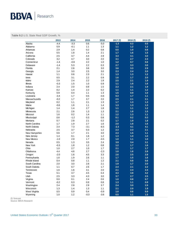#### **Table 9.2** U.S. State Real GDP Growth, %

|                 | 2013    | 2014   | 2015    | 2016    | 2017(f) | 2018(f) | 2019(f) |
|-----------------|---------|--------|---------|---------|---------|---------|---------|
| Alaska          | $-4.4$  | $-3.3$ | 0.6     | $-5.0$  | $-1.3$  | 0.3     | 0.5     |
| Alabama         | 0.9     | $-0.1$ | 1.1     | 1.3     | 1.1     | $1.2$   | $1.2$   |
| Arkansas        | 2.9     | 1.4    | 0.2     | 0.8     | 0.5     | $1.0$   | 0.8     |
| Arizona         | 0.5     | 1.8    | 1.4     | 2.1     | 1.7     | 1.6     | 1.5     |
| California      | 2.5     | 3.7    | 4.4     | 2.9     | 3.3     | 3.1     | 3.0     |
| Colorado        | 3.2     | 4.7    | 3.0     | 2.0     | 3.1     | 2.7     | 2.3     |
| Connecticut     | $-1.4$  | $-0.6$ | 2.2     | 1.0     | 1.2     | 0.7     | 0.6     |
| Delaware        | $-1.4$  | 5.3    | 2.2     | 0.3     | 2.7     | 3.3     | 3.0     |
| Florida         | 2.1     | 2.6    | 3.6     | 3.0     | 3.6     | 3.3     | 2.9     |
| Georgia         | 1.4     | 3.0    | 2.5     | 3.0     | 2.3     | 2.4     | 2.0     |
| Hawaii          | 1.1     | 0.6    | 2.3     | 2.1     | 1.3     | 1.3     | $1.2$   |
| lowa            | 0.5     | 3.1    | 2.2     | 0.9     | 1.6     | 1.7     | 2.0     |
| Idaho           | 2.9     | 2.4    | 2.2     | 1.8     | 2.5     | 2.1     | 1.9     |
| <b>Illinois</b> | $-0.3$  | 1.5    | $1.0\,$ | 0.9     | 1.1     | 1.8     | 1.6     |
| Indiana         | 2.4     | 2.0    | 0.8     | 1.5     | 2.3     | 2.1     | 1.9     |
| Kansas          | 0.2     | 1.4    | 2.2     | 0.2     | 1.1     | 1.1     | $1.2$   |
| Kentucky        | 0.9     | 0.4    | 1.1     | $1.3$   | 1.5     | 0.9     | 1.0     |
| Louisiana       | $-3.4$  | 1.7    | 0.5     | $-0.6$  | 0.3     | 1.7     | 1.1     |
| Massachusetts   | $-0.2$  | 1.7    | 3.7     | 2.0     | 2.5     | 2.1     | 2.1     |
| Maryland        | 0.2     | 1.1    | 2.1     | 1.3     | 1.7     | 1.3     | 1.3     |
| Maine           | $-0.6$  | 1.6    | 1.1     | 1.4     | 1.3     | 1.3     | 1.3     |
| Michigan        | 1.4     | 1.4    | 2.7     | 1.8     | 1.1     | 1.1     | $1.2$   |
| Minnesota       | 2.1     | 2.6    | 1.3     | 1.3     | 2.1     | 1.8     | 1.5     |
| Missouri        | 1.6     | 0.2    | 1.4     | 1.1     | $1.2$   | 1.3     | 1.1     |
| Mississippi     | 0.6     | $-1.2$ | 0.3     | 0.8     | 0.1     | 0.2     | 0.3     |
| Montana         | 0.7     | 2.8    | 2.1     | 0.2     | 1.7     | 1.9     | 1.8     |
| North Carolina  | 1.7     | 1.9    | 2.7     | 1.6     | 2.0     | 1.8     | 1.6     |
| North Dakota    | 2.4     | 7.3    | $-3.1$  | $-6.5$  | $-2.3$  | 4.1     | 4.1     |
| Nebraska        | 2.5     | 3.7    | 0.3     | 1.2     | 2.3     | 2.3     | 2.1     |
| New Hampshire   | 0.6     | 1.7    | 2.1     | 3.0     | 2.3     | 1.5     | 1.1     |
| New Jersey      | 1.4     | 0.1    | 1.6     | 1.2     | 1.3     | 1.0     | 1.0     |
| New Mexico      | $-1.0$  | 2.9    | 1.7     | $-0.5$  | $1.0$   | 1.1     | 1.0     |
| Nevada          | 0.5     | 1.3    | 3.5     | 2.4     | 3.9     | 3.4     | 3.1     |
| New York        | $-0.3$  | 1.8    | 1.2     | 0.8     | $1.2$   | 1.7     | 1.6     |
| Ohio            | 1.0     | 2.7    | 1.0     | 1.7     | 2.1     | 1.7     | 1.7     |
| Oklahoma        | 4.4     | 4.6    | 2.7     | $-2.3$  | 1.0     | 1.6     | 2.8     |
| Oregon          | $-2.0$  | 1.6    | 4.5     | 3.3     | 2.6     | 2.5     | 2.8     |
| Pennsylvania    | 1.6     | 1.9    | 2.6     | 1.1     | 1.7     | 1.5     | 1.6     |
| Rhode Island    | 0.4     | 0.8    | 1.1     | 1.2     | 2.1     | 0.8     | 0.6     |
| South Carolina  | 2.0     | 3.0    | 2.8     | 2.1     | 1.9     | 1.7     | 2.0     |
| South Dakota    | $1.1$   | 0.7    | 2.6     | $1.7\,$ | 2.4     | 2.1     | $2.2$   |
| Tennessee       | 1.6     | 1.6    | 3.1     | 2.0     | 2.1     | $2.4$   | 2.4     |
| Texas           | 5.1     | 3.7    | 4.5     | 0.4     | 4.3     | 3.8     | 4.2     |
| Utah            | 2.5     | 3.3    | 4.3     | 3.0     | 3.7     | 2.7     | 2.5     |
| Virginia        | 0.0     | 0.1    | 2.4     | 0.6     | 1.0     | $0.8\,$ | 0.7     |
| Vermont         | $-0.2$  | 0.3    | 0.9     | 0.8     | 1.3     | $1.1$   | 0.9     |
| Washington      | 2.4     | 2.8    | 2.9     | 3.7     | 2.4     | 3.0     | 2.9     |
| Wisconsin       | 1.3     | 1.4    | 1.3     | 1.1     | 2.1     | $2.0\,$ | 1.9     |
| West Virginia   | $0.5\,$ | 0.9    | 0.4     | $-0.9$  | 1.0     | 0.6     | 0.9     |
| Wyoming         | $1.0\,$ | 1.2    | $-0.3$  | $-3.6$  | 0.5     | $1.1$   | 1.5     |

(f): forecast

Source: BBVA Research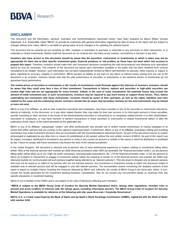#### **DISCLAIMER**

This document and the information, opinions, estimates and recommendations expressed herein, have been prepared by Banco Bilbao Vizcaya Argentaria, S.A. (hereinafter called "BBVA") to provide its customers with general information regarding the date of issue of the report and are subject to changes without prior notice. BBVA is not liable for giving notice of such changes or for updating the contents hereof.

This document and its contents do not constitute an offer, invitation or solicitation to purchase or subscribe to any securities or other instruments, or to undertake or divest investments. Neither shall this document nor its contents form the basis of any contract, commitment or decision of any kind.

**Investors who have access to this document should be aware that the securities, instruments or investments to which it refers may not be appropriate for them due to their specific investment goals, financial positions or risk profiles, as these have not been taken into account to prepare this report**. Therefore, investors should make their own investment decisions considering the said circumstances and obtaining such specialized advice as may be necessary. The contents of this document are based upon information available to the public that has been obtained from sources considered to be reliable. However, such information has not been independently verified by BBVA and therefore no warranty, either express or implicit, is given regarding its accuracy, integrity or correctness. BBVA accepts no liability of any type for any direct or indirect losses arising from the use of the document or its contents. Investors should note that the past performance of securities or instruments or the historical results of investments do not guarantee future performance.

**The market prices of securities or instruments or the results of investments could fluctuate against the interests of investors. Investors should be aware that they could even face a loss of their investment. Transactions in futures, options and securities or high-yield securities can involve high risks and are not appropriate for every investor. Indeed, in the case of some investments, the potential losses may exceed the amount of initial investment and, in such circumstances, investors may be required to pay more money to support those losses. Thus, before undertaking any transaction with these instruments, investors should be aware of their operation, as well as the rights, liabilities and risks implied by the same and the underlying stocks. Investors should also be aware that secondary markets for the said instruments may be limited or even not exist.**

BBVA or any of its affiliates, as well as their respective executives and employees, may have a position in any of the securities or instruments referred to, directly or indirectly, in this document, or in any other related thereto; they may trade for their own account or for third-party account in those securities, provide consulting or other services to the issuer of the aforementioned securities or instruments or to companies related thereto or to their shareholders, executives or employees, or may have interests or perform transactions in those securities or instruments or related investments before or after the publication of this report, to the extent permitted by the applicable law.

BBVA or any of its affiliates' salespeople, traders, and other professionals may provide oral or written market commentary or trading strategies to its clients that reflect opinions that are contrary to the opinions expressed herein. Furthermore, BBVA or any of its affiliates' proprietary trading and investing businesses may make investment decisions that are inconsistent with the recommendations expressed herein. No part of this document may be (i) copied, photocopied or duplicated by any other form or means (ii) redistributed or (iii) quoted, without the prior written consent of BBVA. No part of this report may be copied, conveyed, distributed or furnished to any person or entity in any country (or persons or entities in the same) in which its distribution is prohibited by law. Failure to comply with these restrictions may breach the laws of the relevant jurisdiction.

In the United Kingdom, this document is directed only at persons who (i) have professional experience in matters relating to investments falling within article 19(5) of the financial services and markets act 2000 (financial promotion) order 2005 (as amended, the "financial promotion order"), (ii) are persons falling within article 49(2) (a) to (d) ("high net worth companies, unincorporated associations, etc.") Of the financial promotion order, or (iii) are persons to whom an invitation or inducement to engage in investment activity (within the meaning of section 21 of the financial services and markets act 2000) may otherwise lawfully be communicated (all such persons together being referred to as "relevant persons"). This document is directed only at relevant persons and must not be acted on or relied on by persons who are not relevant persons. Any investment or investment activity to which this document relates is available only to relevant persons and will be engaged in only with relevant persons. The remuneration system concerning the analyst/s author/s of this report is based on multiple criteria, including the revenues obtained by BBVA and, indirectly, the results of BBVA Group in the fiscal year, which, in turn, include the results generated by the investment banking business; nevertheless, they do not receive any remuneration based on revenues from any specific transaction in investment banking.

BBVA is not a member of the FINRA and is not subject to the rules of disclosure affecting such members.

**"BBVA is subject to the BBVA Group Code of Conduct for Security Market Operations which, among other regulations, includes rules to prevent and avoid conflicts of interests with the ratings given, including information barriers. The BBVA Group Code of Conduct for Security Market Operations is available for reference at the following web site: www.bbva.com / Corporate Governance".**

**BBVA, S.A. is a bank supervised by the Bank of Spain and by Spain's Stock Exchange Commission (CNMV), registered with the Bank of Spain with number 0182.**